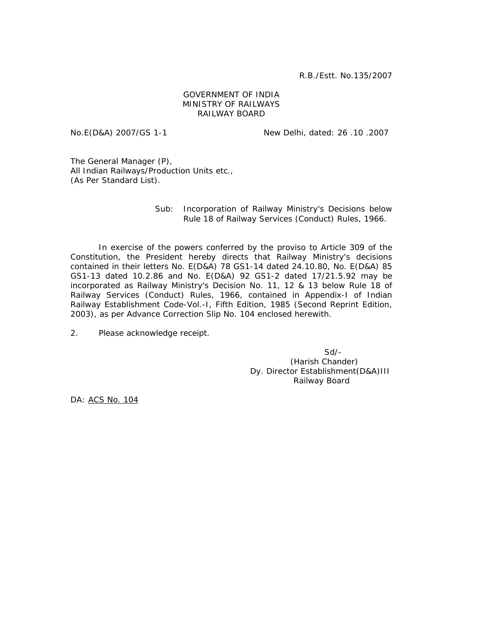R.B./Estt. No.135/2007

## GOVERNMENT OF INDIA MINISTRY OF RAILWAYS RAILWAY BOARD

No.E(D&A) 2007/GS 1-1 New Delhi, dated: 26 .10 .2007

The General Manager (P), All Indian Railways/Production Units etc., (As Per Standard List).

## Sub: Incorporation of Railway Ministry's Decisions below Rule 18 of Railway Services (Conduct) Rules, 1966.

 In exercise of the powers conferred by the proviso to Article 309 of the Constitution, the President hereby directs that Railway Ministry's decisions contained in their letters No. E(D&A) 78 GS1-14 dated 24.10.80, No. E(D&A) 85 GS1-13 dated 10.2.86 and No. E(D&A) 92 GS1-2 dated 17/21.5.92 may be incorporated as Railway Ministry's Decision No. 11, 12 & 13 below Rule 18 of Railway Services (Conduct) Rules, 1966, contained in Appendix-I of Indian Railway Establishment Code-Vol.-I, Fifth Edition, 1985 (Second Reprint Edition, 2003), as per Advance Correction Slip No. 104 enclosed herewith.

2. Please acknowledge receipt.

 Sd/- (Harish Chander) Dy. Director Establishment(D&A)III Railway Board

DA: ACS No. 104